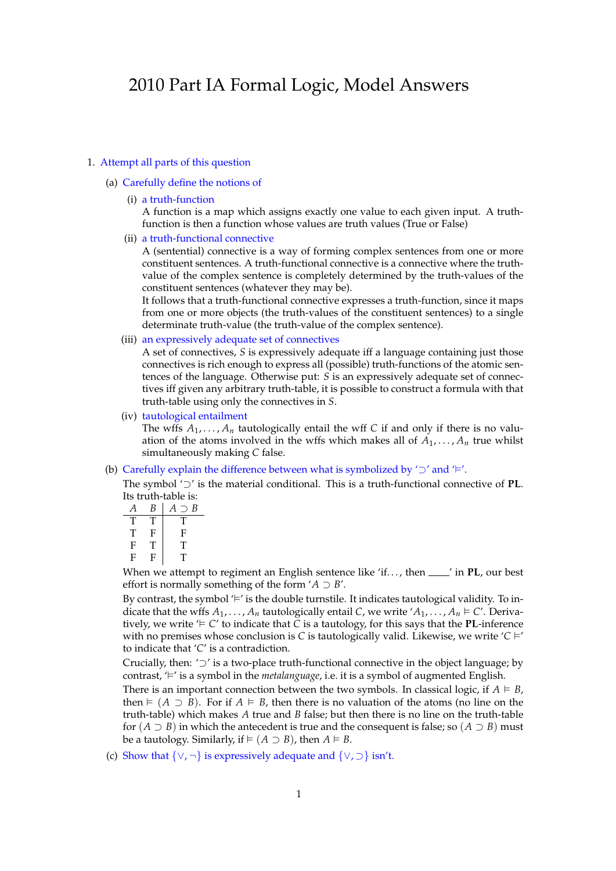# 2010 Part IA Formal Logic, Model Answers

## 1. Attempt all parts of this question

## (a) Carefully define the notions of

(i) a truth-function

A function is a map which assigns exactly one value to each given input. A truthfunction is then a function whose values are truth values (True or False)

(ii) a truth-functional connective

A (sentential) connective is a way of forming complex sentences from one or more constituent sentences. A truth-functional connective is a connective where the truthvalue of the complex sentence is completely determined by the truth-values of the constituent sentences (whatever they may be).

It follows that a truth-functional connective expresses a truth-function, since it maps from one or more objects (the truth-values of the constituent sentences) to a single determinate truth-value (the truth-value of the complex sentence).

(iii) an expressively adequate set of connectives

A set of connectives, *S* is expressively adequate iff a language containing just those connectives is rich enough to express all (possible) truth-functions of the atomic sentences of the language. Otherwise put: *S* is an expressively adequate set of connectives iff given any arbitrary truth-table, it is possible to construct a formula with that truth-table using only the connectives in *S*.

(iv) tautological entailment

The wffs  $A_1, \ldots, A_n$  tautologically entail the wff C if and only if there is no valuation of the atoms involved in the wffs which makes all of  $A_1, \ldots, A_n$  true whilst simultaneously making *C* false.

(b) Carefully explain the difference between what is symbolized by '<sup>2</sup>' and '<sup> $\models'$ </sup>.

The symbol '*⊃*' is the material conditional. This is a truth-functional connective of **PL**. Its truth-table is:

| A | B | B<br>$A \supset$          |
|---|---|---------------------------|
| Т | T | T                         |
| Т | F | $\boldsymbol{\mathrm{F}}$ |
| F | T | т                         |
| F | F | T                         |

When we attempt to regiment an English sentence like 'if..., then  $\frac{ }{ }$  in PL, our best effort is normally something of the form ' $A \supset B'$ .

By contrast, the symbol ' $\vdash'$  is the double turnstile. It indicates tautological validity. To indicate that the wffs  $A_1, \ldots, A_n$  tautologically entail *C*, we write ' $A_1, \ldots, A_n \in \mathbb{C}'$ '. Derivatively, we write  $\neq C'$  to indicate that *C* is a tautology, for this says that the **PL**-inference with no premises whose conclusion is *C* is tautologically valid. Likewise, we write  $\angle$   $\vdash$ to indicate that '*C*' is a contradiction.

Crucially, then: '*⊃*' is a two-place truth-functional connective in the object language; by contrast,  $\vdash$  is a symbol in the *metalanguage*, i.e. it is a symbol of augmented English.

There is an important connection between the two symbols. In classical logic, if  $A \vDash B$ , then  $\models$   $(A \supset B)$ . For if  $A \models B$ , then there is no valuation of the atoms (no line on the truth-table) which makes *A* true and *B* false; but then there is no line on the truth-table for  $(A \supset B)$  in which the antecedent is true and the consequent is false; so  $(A \supset B)$  must be a tautology. Similarly, if  $\models (A \supset B)$ , then  $A \models B$ .

(c) Show that *{∨*, *¬}* is expressively adequate and *{∨*, *⊃}* isn't.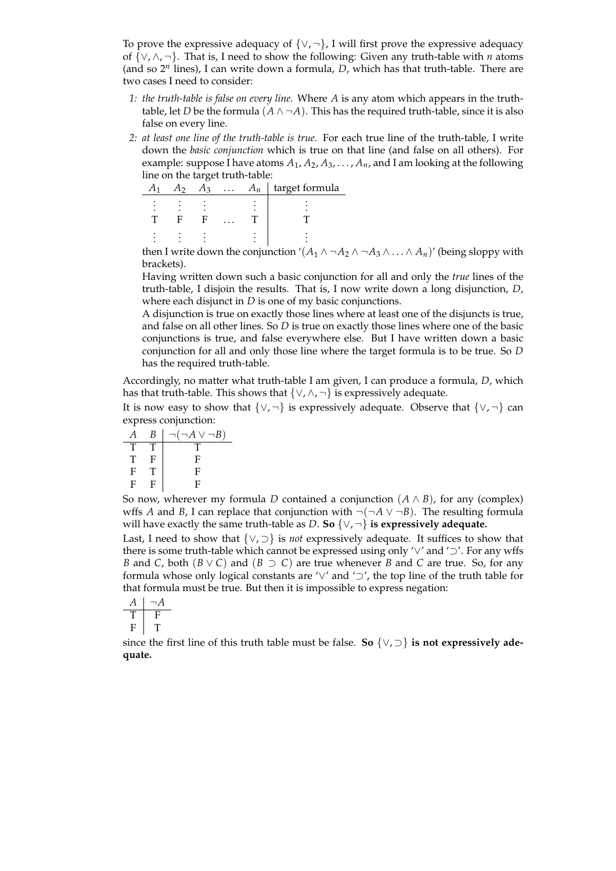To prove the expressive adequacy of *{∨*, *¬}*, I will first prove the expressive adequacy of *{∨*, *∧*, *¬}*. That is, I need to show the following: Given any truth-table with *n* atoms (and so 2*<sup>n</sup>* lines), I can write down a formula, *D*, which has that truth-table. There are two cases I need to consider:

- *1: the truth-table is false on every line.* Where *A* is any atom which appears in the truthtable, let *D* be the formula  $(A \land \neg A)$ . This has the required truth-table, since it is also false on every line.
- *2: at least one line of the truth-table is true.* For each true line of the truth-table, I write down the *basic conjunction* which is true on that line (and false on all others). For example: suppose I have atoms *A*1, *A*2, *A*3, . . . , *An*, and I am looking at the following line on the target truth-table:

|  | $13 -$ | $\cdots$ | $\pi_n$ | target formula |
|--|--------|----------|---------|----------------|
|  |        |          |         |                |
|  |        |          |         |                |

then I write down the conjunction ' $(A_1 \wedge \neg A_2 \wedge \neg A_3 \wedge \dots \wedge A_n)$ ' (being sloppy with brackets).

Having written down such a basic conjunction for all and only the *true* lines of the truth-table, I disjoin the results. That is, I now write down a long disjunction, *D*, where each disjunct in *D* is one of my basic conjunctions.

A disjunction is true on exactly those lines where at least one of the disjuncts is true, and false on all other lines. So *D* is true on exactly those lines where one of the basic conjunctions is true, and false everywhere else. But I have written down a basic conjunction for all and only those line where the target formula is to be true. So *D* has the required truth-table.

Accordingly, no matter what truth-table I am given, I can produce a formula, *D*, which has that truth-table. This shows that  $\{ \vee, \wedge, \neg \}$  is expressively adequate.

It is now easy to show that *{∨*, *¬}* is expressively adequate. Observe that *{∨*, *¬}* can express conjunction:

$$
\begin{array}{c|cc}\nA & B & \neg(\neg A \lor \neg B) \\
\hline\nT & T & T \\
T & F & F \\
F & T & F \\
F & F & F \\
\end{array}
$$

So now, wherever my formula *D* contained a conjunction  $(A \wedge B)$ , for any (complex) wffs *A* and *B*, I can replace that conjunction with  $\neg(\neg A \lor \neg B)$ . The resulting formula will have exactly the same truth-table as *D*. **So** *{∨*, *¬}* **is expressively adequate.**

Last, I need to show that *{∨*, *⊃}* is *not* expressively adequate. It suffices to show that there is some truth-table which cannot be expressed using only '*∨*' and '*⊃*'. For any wffs *B* and *C*, both (*B ∨ C*) and (*B ⊃ C*) are true whenever *B* and *C* are true. So, for any formula whose only logical constants are '*∨*' and '*⊃*', the top line of the truth table for that formula must be true. But then it is impossible to express negation:

$$
\begin{array}{c|cc}\nA & \neg A \\
\hline\nT & F \\
F & T\n\end{array}
$$

since the first line of this truth table must be false. **So** *{∨*, *⊃}* **is not expressively adequate.**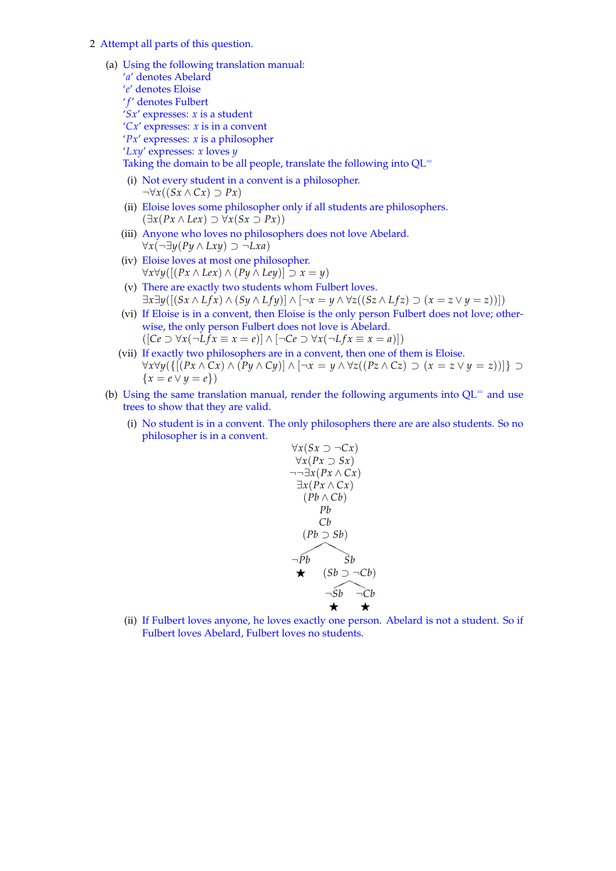2 Attempt all parts of this question.

(a) Using the following translation manual:

- '*a*' denotes Abelard '*e*' denotes Eloise ' *f'* denotes Fulbert '*Sx*' expresses: *x* is a student '*Cx*' expresses: *x* is in a convent '*Px*' expresses: *x* is a philosopher '*Lxy*' expresses: *x* loves *y* Taking the domain to be all people, translate the following into QL<sup>=</sup> (i) Not every student in a convent is a philosopher. *¬∀x*((*Sx ∧ Cx*) *⊃ Px*) (ii) Eloise loves some philosopher only if all students are philosophers.
	- (*∃x*(*Px ∧ Lex*) *⊃ ∀x*(*Sx ⊃ Px*))
	- (iii) Anyone who loves no philosophers does not love Abelard. *∀x*(*¬∃y*(*Py ∧ Lxy*) *⊃ ¬Lxa*)
	- (iv) Eloise loves at most one philosopher. *∀x∀y*([(*Px ∧ Lex*) *∧* (*Py ∧ Ley*)] *⊃ x* = *y*)
	- (v) There are exactly two students whom Fulbert loves.  $\exists x \exists y ([(Sx \wedge Lfx) \wedge (Sy \wedge Lfy)] \wedge [\neg x = y \wedge \forall z ((Sz \wedge Lfx) \supset (x = z \vee y = z))])$
	- (vi) If Eloise is in a convent, then Eloise is the only person Fulbert does not love; otherwise, the only person Fulbert does not love is Abelard.  $(\vert Ce \supset \forall x(\neg Lfx \equiv x = e) \vert \wedge [\neg Ce \supset \forall x(\neg Lfx \equiv x = a)]$
	- (vii) If exactly two philosophers are in a convent, then one of them is Eloise.  $\forall x \forall y (\{[(Px \land Cx) \land (Py \land Cy)] \land [\neg x = y \land \forall z ((Pz \land Cz) \supset (x = z \lor y = z))] \} \supset$ *{x* = *e ∨ y* = *e}*)
- (b) Using the same translation manual, render the following arguments into  $QL^=$  and use trees to show that they are valid.
	- (i) No student is in a convent. The only philosophers there are are also students. So no philosopher is in a convent.

$$
\forall x (Sx \supset \neg Cx)
$$
  
\n
$$
\forall x (Px \supset Sx)
$$
  
\n
$$
\neg \exists x (Px \land Cx)
$$
  
\n
$$
\exists x (Px \land Cx)
$$
  
\n
$$
(Pb \land Cb)
$$
  
\n
$$
Pb
$$
  
\n
$$
Cb
$$
  
\n
$$
(Pb \supset Sb)
$$
  
\n
$$
\neg Pb
$$
  
\n
$$
\neg Sb
$$
  
\n
$$
\neg Cb
$$

(ii) If Fulbert loves anyone, he loves exactly one person. Abelard is not a student. So if Fulbert loves Abelard, Fulbert loves no students.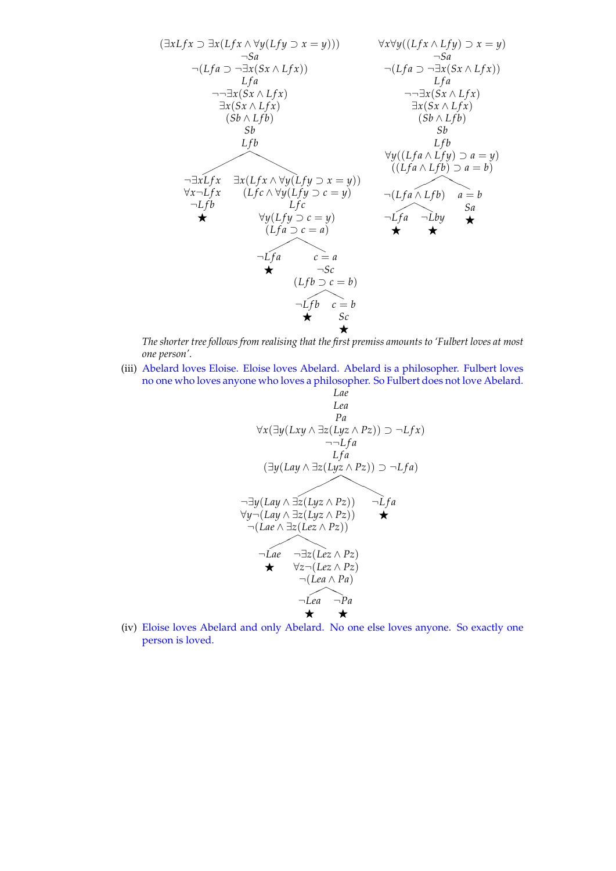

*The shorter tree follows from realising that the first premiss amounts to 'Fulbert loves at most one person'.*

(iii) Abelard loves Eloise. Eloise loves Abelard. Abelard is a philosopher. Fulbert loves no one who loves anyone who loves a philosopher. So Fulbert does not love Abelard.

*Lae*  
\n*Lea*  
\n*Pa*  
\n
$$
\forall x (\exists y (Lxy \land \exists z (Lyz \land Pz)) \supset \neg Lfx)
$$
  
\n $\neg \neg Lfa$   
\n*Lfa*  
\n( $\exists y (Lay \land \exists z (Lyz \land Pz)) \supset \neg Lfa$ )  
\n $\neg \exists y (Lay \land \exists z (Lyz \land Pz))$   
\n $\neg (Lay \land \exists z (Lyz \land Pz))$   
\n $\neg (Lae \land \exists z (Lez \land Pz))$   
\n $\neg Lae$   
\n $\neg \exists z (Lez \land Pz)$   
\n $\neg (Lea \land Pa)$   
\n $\neg Lea$   
\n $\neg Pa$   
\n★

(iv) Eloise loves Abelard and only Abelard. No one else loves anyone. So exactly one person is loved.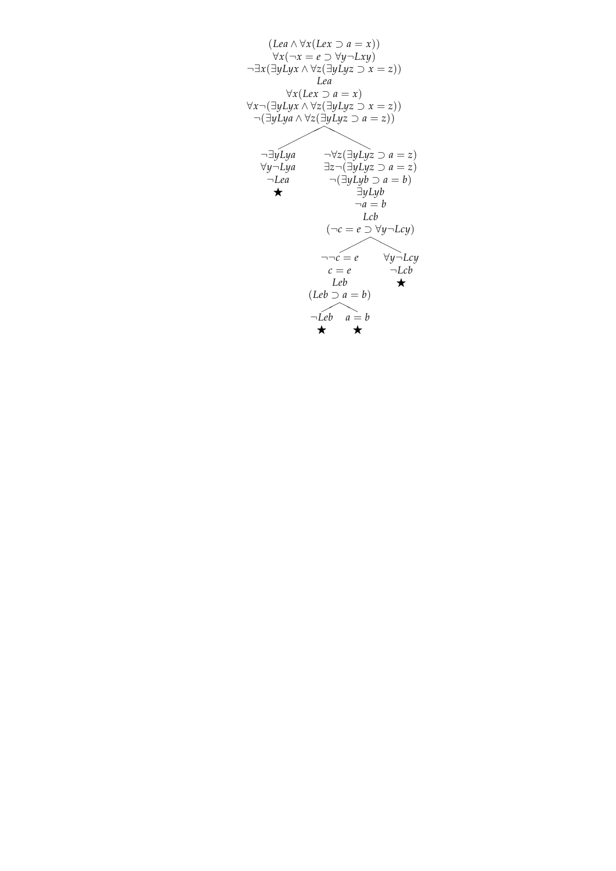$$
(Lea \land \forall x (Lex \supset a = x))
$$
  
\n
$$
\forall x (\neg x = e \supset \forall y \neg Lxy)
$$
  
\n
$$
\neg \exists x (\exists y Lyx \land \forall z (\exists y Lyz \supset x = z))
$$
  
\n
$$
Lea
$$
  
\n
$$
\forall x (Lex \supset a = x)
$$
  
\n
$$
\forall x (\exists y Lyx \land \forall z (\exists y Lyz \supset x = z))
$$
  
\n
$$
\neg (\exists y Lyx \land \forall z (\exists y Lyz \supset a = z))
$$
  
\n
$$
\neg \exists y Lya
$$
  
\n
$$
\neg \forall z (\exists y Lyz \supset a = z)
$$
  
\n
$$
\neg Lea
$$
  
\n
$$
\neg (\exists y Lyy \supset a = b)
$$
  
\n
$$
\neg Leb
$$
  
\n
$$
\neg a = b
$$
  
\n
$$
Lcb
$$
  
\n
$$
(\neg c = e \supset \forall y \neg Lcy)
$$
  
\n
$$
\neg \neg c = e
$$
  
\n
$$
\forall y \neg Lcy
$$
  
\n
$$
c = e
$$
  
\n
$$
\neg Lcb
$$
  
\n
$$
(Leb \supset a = b)
$$
  
\n
$$
\Rightarrow Leb
$$
  
\n
$$
\Rightarrow
$$
  
\n
$$
\Rightarrow
$$
  
\n
$$
\Rightarrow
$$
  
\n
$$
\Rightarrow
$$
  
\n
$$
\Rightarrow
$$
  
\n
$$
\Rightarrow
$$
  
\n
$$
\Rightarrow
$$
  
\n
$$
\Rightarrow
$$
  
\n
$$
\Rightarrow
$$
  
\n
$$
\Rightarrow
$$
  
\n
$$
\Rightarrow
$$
  
\n
$$
\Rightarrow
$$
  
\n
$$
\Rightarrow
$$
  
\n
$$
\Rightarrow
$$
  
\n
$$
\Rightarrow
$$
  
\n
$$
\Rightarrow
$$
  
\n
$$
\Rightarrow
$$
  
\n
$$
\Rightarrow
$$
  
\n
$$
\Rightarrow
$$
  
\n
$$
\Rightarrow
$$
  
\n
$$
\Rightarrow
$$
  
\n
$$
\Rightarrow
$$
  
\n
$$
\Rightarrow
$$
  
\n
$$
\
$$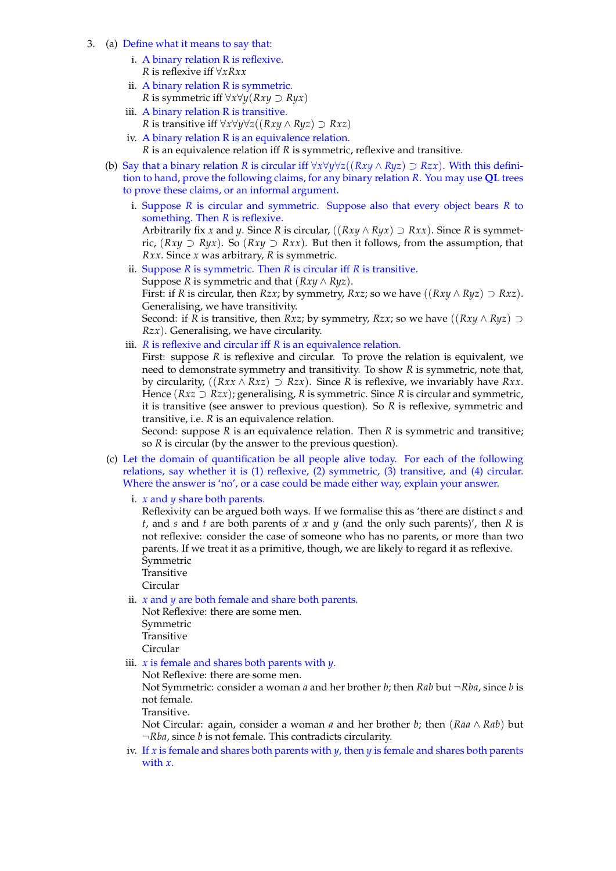- 3. (a) Define what it means to say that:
	- i. A binary relation R is reflexive. *R* is reflexive iff *∀xRxx*
	- ii. A binary relation R is symmetric. *R* is symmetric iff *∀x∀y*(*Rxy ⊃ Ryx*)
	- iii. A binary relation R is transitive. *R* is transitive iff  $\forall x \forall y \forall z ((Rxy \land Ryz) ⊇ Rxz)$
	- iv. A binary relation R is an equivalence relation. *R* is an equivalence relation iff *R* is symmetric, reflexive and transitive.
	- (b) Say that a binary relation *R* is circular iff  $\forall x \forall y \forall z ((Rxy ∧ Ryz) ⊇ Rzx)$ . With this definition to hand, prove the following claims, for any binary relation *R*. You may use **QL** trees to prove these claims, or an informal argument.
		- i. Suppose *R* is circular and symmetric. Suppose also that every object bears *R* to something. Then *R* is reflexive. Arbitrarily fix *x* and *y*. Since *R* is circular, ((*Rxy ∧ Ryx*) *⊃ Rxx*). Since *R* is symmetric,  $(Rxy$  ⊃  $Ryx$ ). So  $(Rxy$  ⊃  $Rxx)$ . But then it follows, from the assumption, that *Rxx*. Since *x* was arbitrary, *R* is symmetric.
		- ii. Suppose *R* is symmetric. Then *R* is circular iff *R* is transitive. Suppose *R* is symmetric and that  $(Rxy \wedge Ryz)$ . First: if *R* is circular, then *Rzx*; by symmetry, *Rxz*; so we have  $((Rxy \wedge Ryz) \supset Rxz)$ . Generalising, we have transitivity. Second: if *R* is transitive, then *Rxz*; by symmetry, *Rzx*; so we have  $((Rxy \wedge Ryz) \supset$ *Rzx*). Generalising, we have circularity.
		- iii. *R* is reflexive and circular iff *R* is an equivalence relation.

First: suppose *R* is reflexive and circular. To prove the relation is equivalent, we need to demonstrate symmetry and transitivity. To show *R* is symmetric, note that, by circularity,  $((Rxx \wedge Rxz) \supset Rzx)$ . Since *R* is reflexive, we invariably have *Rxx*. Hence (*Rxz ⊃ Rzx*); generalising, *R* is symmetric. Since *R* is circular and symmetric, it is transitive (see answer to previous question). So *R* is reflexive, symmetric and transitive, i.e. *R* is an equivalence relation.

Second: suppose *R* is an equivalence relation. Then *R* is symmetric and transitive; so *R* is circular (by the answer to the previous question).

- (c) Let the domain of quantification be all people alive today. For each of the following relations, say whether it is (1) reflexive, (2) symmetric, (3) transitive, and (4) circular. Where the answer is 'no', or a case could be made either way, explain your answer.
	- i. *x* and *y* share both parents.

Reflexivity can be argued both ways. If we formalise this as 'there are distinct *s* and *t*, and *s* and *t* are both parents of *x* and *y* (and the only such parents)', then *R* is not reflexive: consider the case of someone who has no parents, or more than two parents. If we treat it as a primitive, though, we are likely to regard it as reflexive. Symmetric

**Transitive** 

Circular

ii. *x* and *y* are both female and share both parents.

Not Reflexive: there are some men. Symmetric Transitive Circular

iii. *x* is female and shares both parents with *y*.

Not Reflexive: there are some men.

Not Symmetric: consider a woman *a* and her brother *b*; then *Rab* but *¬Rba*, since *b* is not female.

Transitive.

Not Circular: again, consider a woman *a* and her brother *b*; then (*Raa ∧ Rab*) but *¬Rba*, since *b* is not female. This contradicts circularity.

iv. If *x* is female and shares both parents with *y*, then *y* is female and shares both parents with *x*.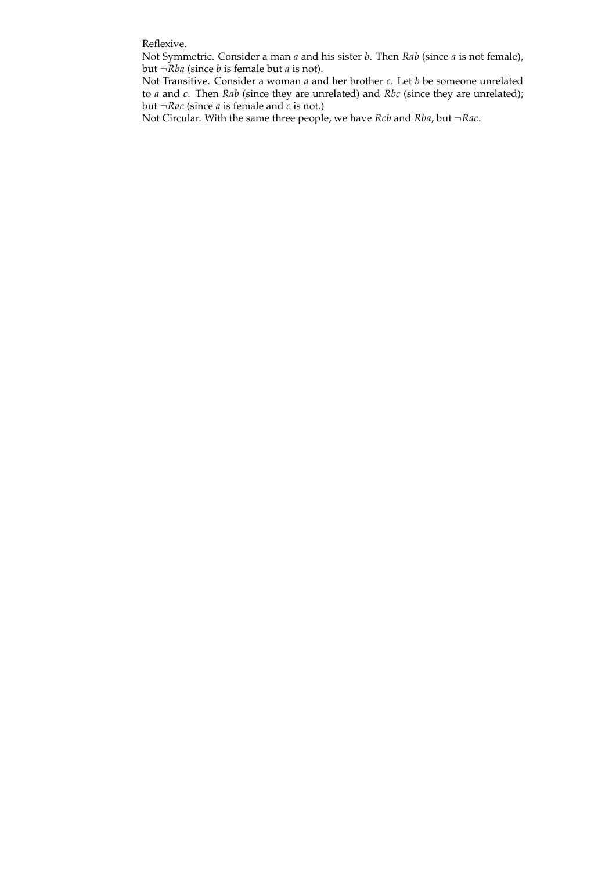Reflexive.

Not Symmetric. Consider a man *a* and his sister *b*. Then *Rab* (since *a* is not female), but *¬Rba* (since *b* is female but *a* is not).

Not Transitive. Consider a woman *a* and her brother *c*. Let *b* be someone unrelated to *a* and *c*. Then *Rab* (since they are unrelated) and *Rbc* (since they are unrelated); but  $\neg Rac$  (since *a* is female and *c* is not.)

Not Circular. With the same three people, we have *Rcb* and *Rba*, but *¬Rac*.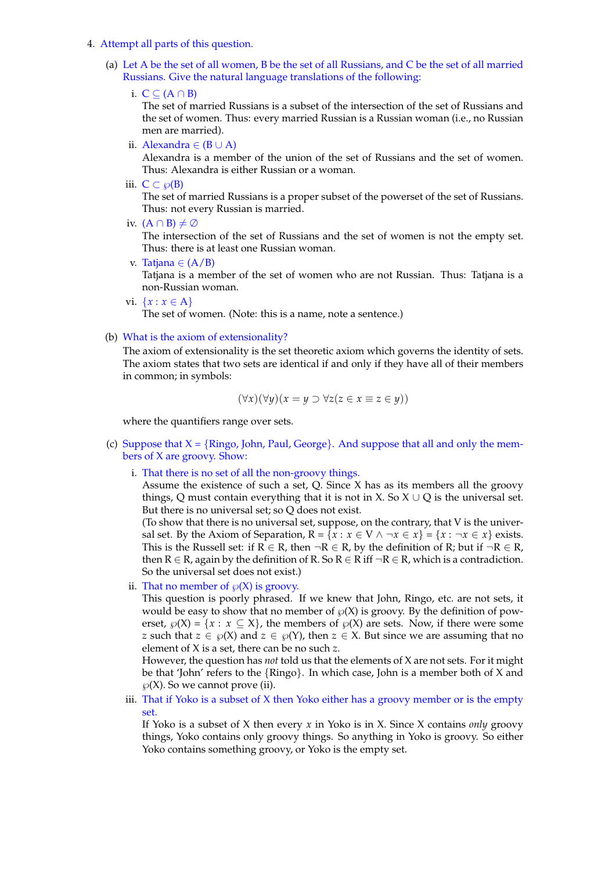- 4. Attempt all parts of this question.
	- (a) Let A be the set of all women, B be the set of all Russians, and C be the set of all married Russians. Give the natural language translations of the following:
		- i. C *⊆* (A *∩* B)

The set of married Russians is a subset of the intersection of the set of Russians and the set of women. Thus: every married Russian is a Russian woman (i.e., no Russian men are married).

ii. Alexandra *∈* (B *∪* A)

Alexandra is a member of the union of the set of Russians and the set of women. Thus: Alexandra is either Russian or a woman.

iii.  $C \subset \wp(B)$ 

The set of married Russians is a proper subset of the powerset of the set of Russians. Thus: not every Russian is married.

iv. (A *∩* B) *̸*= ∅

The intersection of the set of Russians and the set of women is not the empty set. Thus: there is at least one Russian woman.

v. Tatjana *∈* (A/B)

Tatjana is a member of the set of women who are not Russian. Thus: Tatjana is a non-Russian woman.

vi. *{x* : *x ∈* A*}*

The set of women. (Note: this is a name, note a sentence.)

## (b) What is the axiom of extensionality?

The axiom of extensionality is the set theoretic axiom which governs the identity of sets. The axiom states that two sets are identical if and only if they have all of their members in common; in symbols:

$$
(\forall x)(\forall y)(x = y \supset \forall z(z \in x \equiv z \in y))
$$

where the quantifiers range over sets.

- (c) Suppose that X = *{*Ringo, John, Paul, George*}*. And suppose that all and only the members of X are groovy. Show:
	- i. That there is no set of all the non-groovy things.

Assume the existence of such a set, Q. Since X has as its members all the groovy things, Q must contain everything that it is not in X. So  $X \cup Q$  is the universal set. But there is no universal set; so Q does not exist.

(To show that there is no universal set, suppose, on the contrary, that V is the universal set. By the Axiom of Separation,  $R = \{x : x \in V \land \neg x \in x\} = \{x : \neg x \in x\}$  exists. This is the Russell set: if  $R \in R$ , then  $\neg R \in R$ , by the definition of R; but if  $\neg R \in R$ , then R *∈* R, again by the definition of R. So R *∈* R iff *¬*R *∈* R, which is a contradiction. So the universal set does not exist.)

ii. That no member of  $\mathcal{O}(X)$  is groovy.

This question is poorly phrased. If we knew that John, Ringo, etc. are not sets, it would be easy to show that no member of  $\wp(X)$  is groovy. By the definition of powerset,  $\varphi(X) = \{x : x \subseteq X\}$ , the members of  $\varphi(X)$  are sets. Now, if there were some *z* such that  $z \in \wp(X)$  and  $z \in \wp(Y)$ , then  $z \in X$ . But since we are assuming that no element of X is a set, there can be no such *z*.

However, the question has *not* told us that the elements of X are not sets. For it might be that 'John' refers to the *{*Ringo*}*. In which case, John is a member both of X and  $\wp(X)$ . So we cannot prove (ii).

iii. That if Yoko is a subset of  $X$  then Yoko either has a groovy member or is the empty set.

If Yoko is a subset of X then every *x* in Yoko is in X. Since X contains *only* groovy things, Yoko contains only groovy things. So anything in Yoko is groovy. So either Yoko contains something groovy, or Yoko is the empty set.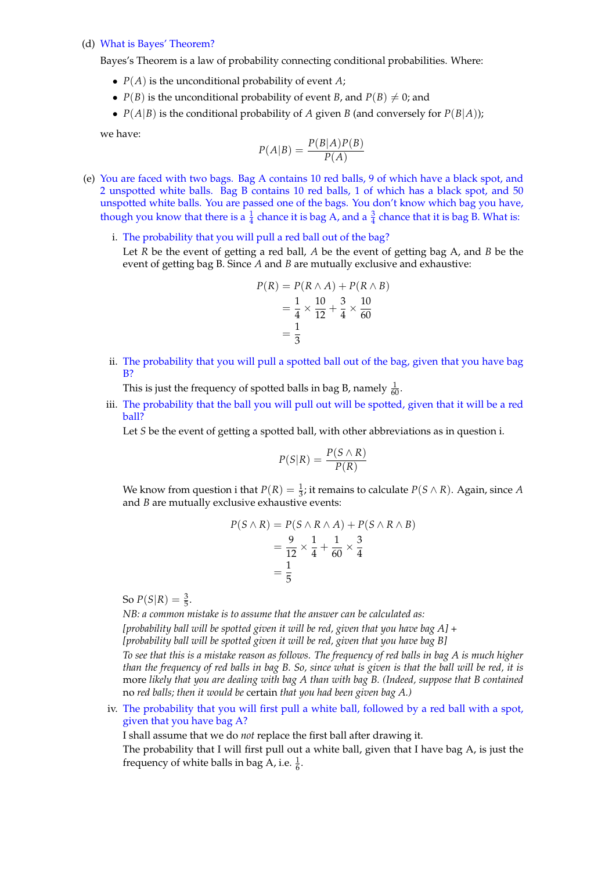## (d) What is Bayes' Theorem?

Bayes's Theorem is a law of probability connecting conditional probabilities. Where:

- *• P*(*A*) is the unconditional probability of event *A*;
- $P(B)$  is the unconditional probability of event *B*, and  $P(B) \neq 0$ ; and
- $P(A|B)$  is the conditional probability of *A* given *B* (and conversely for  $P(B|A)$ );

we have:

$$
P(A|B) = \frac{P(B|A)P(B)}{P(A)}
$$

- (e) You are faced with two bags. Bag A contains 10 red balls, 9 of which have a black spot, and 2 unspotted white balls. Bag B contains 10 red balls, 1 of which has a black spot, and 50 unspotted white balls. You are passed one of the bags. You don't know which bag you have, though you know that there is a  $\frac{1}{4}$  chance it is bag A, and a  $\frac{3}{4}$  chance that it is bag B. What is:
	- i. The probability that you will pull a red ball out of the bag?

Let *R* be the event of getting a red ball, *A* be the event of getting bag A, and *B* be the event of getting bag B. Since *A* and *B* are mutually exclusive and exhaustive:

$$
P(R) = P(R \land A) + P(R \land B)
$$
  
=  $\frac{1}{4} \times \frac{10}{12} + \frac{3}{4} \times \frac{10}{60}$   
=  $\frac{1}{3}$ 

ii. The probability that you will pull a spotted ball out of the bag, given that you have bag B?

This is just the frequency of spotted balls in bag B, namely  $\frac{1}{60}$ .

iii. The probability that the ball you will pull out will be spotted, given that it will be a red ball?

Let *S* be the event of getting a spotted ball, with other abbreviations as in question i.

$$
P(S|R) = \frac{P(S \wedge R)}{P(R)}
$$

We know from question i that  $P(R) = \frac{1}{3}$ ; it remains to calculate  $P(S \wedge R)$ . Again, since *A* and *B* are mutually exclusive exhaustive events:

$$
P(S \wedge R) = P(S \wedge R \wedge A) + P(S \wedge R \wedge B)
$$
  
= 
$$
\frac{9}{12} \times \frac{1}{4} + \frac{1}{60} \times \frac{3}{4}
$$
  
= 
$$
\frac{1}{5}
$$

So  $P(S|R) = \frac{3}{5}$ .

*NB: a common mistake is to assume that the answer can be calculated as:*

*[probability ball will be spotted given it will be red, given that you have bag A] +*

*[probability ball will be spotted given it will be red, given that you have bag B]*

*To see that this is a mistake reason as follows. The frequency of red balls in bag A is much higher than the frequency of red balls in bag B. So, since what is given is that the ball will be red, it is* more *likely that you are dealing with bag A than with bag B. (Indeed, suppose that B contained* no *red balls; then it would be* certain *that you had been given bag A.)*

iv. The probability that you will first pull a white ball, followed by a red ball with a spot, given that you have bag A?

I shall assume that we do *not* replace the first ball after drawing it.

The probability that I will first pull out a white ball, given that I have bag A, is just the frequency of white balls in bag A, i.e.  $\frac{1}{6}$ .